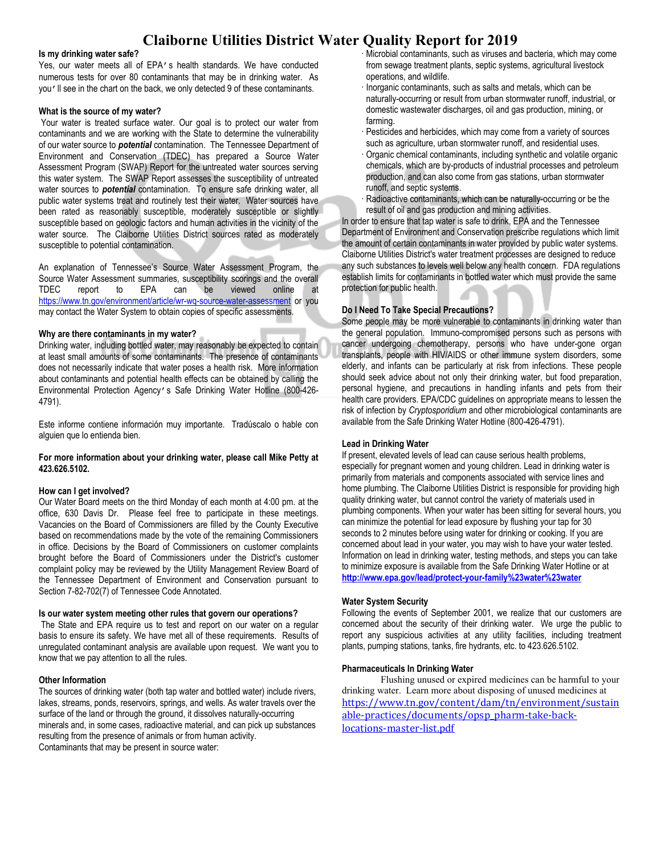# **Claiborne Utilities District Water Quality Report for 2019**

#### **Is my drinking water safe?**

Yes, our water meets all of EPA's health standards. We have conducted numerous tests for over 80 contaminants that may be in drinking water. As you'll see in the chart on the back, we only detected 9 of these contaminants.

#### **What is the source of my water?**

Your water is treated surface water. Our goal is to protect our water from contaminants and we are working with the State to determine the vulnerability of our water source to *potential* contamination. The Tennessee Department of Environment and Conservation (TDEC) has prepared a Source Water Assessment Program (SWAP) Report for the untreated water sources serving this water system. The SWAP Report assesses the susceptibility of untreated water sources to *potential* contamination. To ensure safe drinking water, all public water systems treat and routinely test their water. Water sources have been rated as reasonably susceptible, moderately susceptible or slightly susceptible based on geologic factors and human activities in the vicinity of the water source. The Claiborne Utilities District sources rated as moderately susceptible to potential contamination.

An explanation of Tennessee's Source Water Assessment Program, the Source Water Assessment summaries, susceptibility scorings and the overall TDEC report to EPA can be viewed online at <https://www.tn.gov/environment/article/wr-wq-source-water-assessment> or you may contact the Water System to obtain copies of specific assessments.

# **Why are there contaminants in my water?**

Drinking water, including bottled water, may reasonably be expected to contain at least small amounts of some contaminants. The presence of contaminants does not necessarily indicate that water poses a health risk. More information about contaminants and potential health effects can be obtained by calling the Environmental Protection Agency's Safe Drinking Water Hotline (800-426- 4791).

Este informe contiene información muy importante. Tradúscalo o hable con alguien que lo entienda bien.

# **For more information about your drinking water, please call Mike Petty at 423.626.5102.**

#### **How can I get involved?**

Our Water Board meets on the third Monday of each month at 4:00 pm. at the office, 630 Davis Dr. Please feel free to participate in these meetings. Vacancies on the Board of Commissioners are filled by the County Executive based on recommendations made by the vote of the remaining Commissioners in office. Decisions by the Board of Commissioners on customer complaints brought before the Board of Commissioners under the District's customer complaint policy may be reviewed by the Utility Management Review Board of the Tennessee Department of Environment and Conservation pursuant to Section 7-82-702(7) of Tennessee Code Annotated.

#### **Is our water system meeting other rules that govern our operations?**

The State and EPA require us to test and report on our water on a regular basis to ensure its safety. We have met all of these requirements. Results of unregulated contaminant analysis are available upon request. We want you to know that we pay attention to all the rules.

# **Other Information**

The sources of drinking water (both tap water and bottled water) include rivers, lakes, streams, ponds, reservoirs, springs, and wells. As water travels over the surface of the land or through the ground, it dissolves naturally-occurring minerals and, in some cases, radioactive material, and can pick up substances resulting from the presence of animals or from human activity. Contaminants that may be present in source water:

- · Microbial contaminants, such as viruses and bacteria, which may come from sewage treatment plants, septic systems, agricultural livestock operations, and wildlife.
- · Inorganic contaminants, such as salts and metals, which can be naturally-occurring or result from urban stormwater runoff, industrial, or domestic wastewater discharges, oil and gas production, mining, or farming.
- · Pesticides and herbicides, which may come from a variety of sources such as agriculture, urban stormwater runoff, and residential uses.
- · Organic chemical contaminants, including synthetic and volatile organic chemicals, which are by-products of industrial processes and petroleum production, and can also come from gas stations, urban stormwater runoff, and septic systems.
- Radioactive contaminants, which can be naturally-occurring or be the result of oil and gas production and mining activities.

In order to ensure that tap water is safe to drink, EPA and the Tennessee Department of Environment and Conservation prescribe regulations which limit the amount of certain contaminants in water provided by public water systems. Claiborne Utilities District's water treatment processes are designed to reduce any such substances to levels well below any health concern. FDA regulations establish limits for contaminants in bottled water which must provide the same protection for public health.

# **Do I Need To Take Special Precautions?**

Some people may be more vulnerable to contaminants in drinking water than the general population. Immuno-compromised persons such as persons with cancer undergoing chemotherapy, persons who have under-gone organ transplants, people with HIV/AIDS or other immune system disorders, some elderly, and infants can be particularly at risk from infections. These people should seek advice about not only their drinking water, but food preparation, personal hygiene, and precautions in handling infants and pets from their health care providers. EPA/CDC guidelines on appropriate means to lessen the risk of infection by *Cryptosporidium* and other microbiological contaminants are available from the Safe Drinking Water Hotline (800-426-4791).

#### **Lead in Drinking Water**

If present, elevated levels of lead can cause serious health problems, especially for pregnant women and young children. Lead in drinking water is primarily from materials and components associated with service lines and home plumbing. The Claiborne Utilities District is responsible for providing high quality drinking water, but cannot control the variety of materials used in plumbing components. When your water has been sitting for several hours, you can minimize the potential for lead exposure by flushing your tap for 30 seconds to 2 minutes before using water for drinking or cooking. If you are concerned about lead in your water, you may wish to have your water tested. Information on lead in drinking water, testing methods, and steps you can take to minimize exposure is available from the Safe Drinking Water Hotline or at **<http://www.epa.gov/lead/protect-your-family%23water%23water>**

# **Water System Security**

Following the events of September 2001, we realize that our customers are concerned about the security of their drinking water. We urge the public to report any suspicious activities at any utility facilities, including treatment plants, pumping stations, tanks, fire hydrants, etc. to 423.626.5102.

#### **Pharmaceuticals In Drinking Water**

Flushing unused or expired medicines can be harmful to your drinking water. Learn more about disposing of unused medicines at [https://www.tn.gov/content/dam/tn/environment/sustain](https://www.tn.gov/content/dam/tn/environment/sustainable-practices/documents/opsp_pharm-take-back-locations-master-list.pdf) [able-practices/documents/opsp\\_pharm-take-back](https://www.tn.gov/content/dam/tn/environment/sustainable-practices/documents/opsp_pharm-take-back-locations-master-list.pdf)[locations-master-list.pdf](https://www.tn.gov/content/dam/tn/environment/sustainable-practices/documents/opsp_pharm-take-back-locations-master-list.pdf)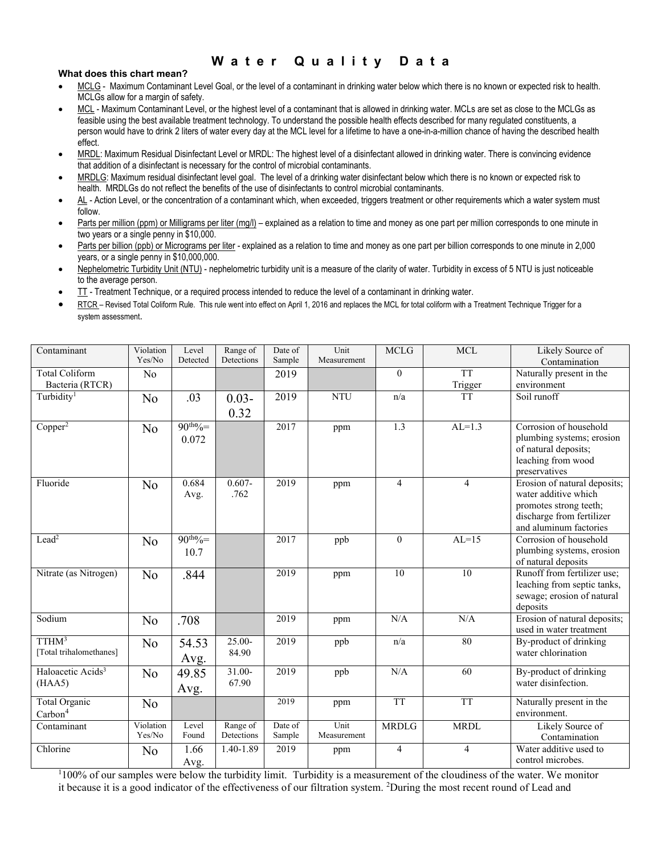# **W a t e r Q u a l i t y D a t a**

# **What does this chart mean?**

- MCLG Maximum Contaminant Level Goal, or the level of a contaminant in drinking water below which there is no known or expected risk to health. MCLGs allow for a margin of safety.
- ∑ MCL Maximum Contaminant Level, or the highest level of a contaminant that is allowed in drinking water. MCLs are set as close to the MCLGs as feasible using the best available treatment technology. To understand the possible health effects described for many regulated constituents, a person would have to drink 2 liters of water every day at the MCL level for a lifetime to have a one-in-a-million chance of having the described health effect.
- MRDL: Maximum Residual Disinfectant Level or MRDL: The highest level of a disinfectant allowed in drinking water. There is convincing evidence that addition of a disinfectant is necessary for the control of microbial contaminants.
- ∑ MRDLG: Maximum residual disinfectant level goal. The level of a drinking water disinfectant below which there is no known or expected risk to health. MRDLGs do not reflect the benefits of the use of disinfectants to control microbial contaminants.
- AL Action Level, or the concentration of a contaminant which, when exceeded, triggers treatment or other requirements which a water system must follow.
- Parts per million (ppm) or Milligrams per liter (mg/l) explained as a relation to time and money as one part per million corresponds to one minute in two years or a single penny in \$10,000.
- Parts per billion (ppb) or Micrograms per liter explained as a relation to time and money as one part per billion corresponds to one minute in 2,000 years, or a single penny in \$10,000,000.
- Nephelometric Turbidity Unit (NTU) nephelometric turbidity unit is a measure of the clarity of water. Turbidity in excess of 5 NTU is just noticeable to the average person.
- ∑ TT Treatment Technique, or a required process intended to reduce the level of a contaminant in drinking water.
- RTCR Revised Total Coliform Rule. This rule went into effect on April 1, 2016 and replaces the MCL for total coliform with a Treatment Technique Trigger for a system assessment.

| Contaminant                   | Violation      | Level         | Range of   | Date of | Unit        | <b>MCLG</b>    | <b>MCL</b>      | Likely Source of                             |
|-------------------------------|----------------|---------------|------------|---------|-------------|----------------|-----------------|----------------------------------------------|
|                               | Yes/No         | Detected      | Detections | Sample  | Measurement |                |                 | Contamination                                |
| <b>Total Coliform</b>         | No             |               |            | 2019    |             | $\mathbf{0}$   | <b>TT</b>       | Naturally present in the                     |
| Bacteria (RTCR)               |                |               |            |         |             |                | Trigger         | environment                                  |
| Turbidity <sup>1</sup>        | No             | .03           | $0.03 -$   | 2019    | <b>NTU</b>  | n/a            | <b>TT</b>       | Soil runoff                                  |
|                               |                |               | 0.32       |         |             |                |                 |                                              |
| $Copper^2$                    | No             | $90^{th}\% =$ |            | 2017    | ppm         | 1.3            | $AL=1.3$        | Corrosion of household                       |
|                               |                | 0.072         |            |         |             |                |                 | plumbing systems; erosion                    |
|                               |                |               |            |         |             |                |                 | of natural deposits;                         |
|                               |                |               |            |         |             |                |                 | leaching from wood                           |
|                               |                |               |            |         |             |                |                 | preservatives                                |
| Fluoride                      | N <sub>o</sub> | 0.684         | $0.607 -$  | 2019    | ppm         | $\overline{4}$ | $\overline{4}$  | Erosion of natural deposits;                 |
|                               |                | Avg.          | .762       |         |             |                |                 | water additive which                         |
|                               |                |               |            |         |             |                |                 | promotes strong teeth;                       |
|                               |                |               |            |         |             |                |                 | discharge from fertilizer                    |
|                               |                |               |            |         |             |                |                 | and aluminum factories                       |
| Lead <sup>2</sup>             | N <sub>o</sub> | $90^{th}\% =$ |            | 2017    | ppb         | $\theta$       | $AL=15$         | Corrosion of household                       |
|                               |                | 10.7          |            |         |             |                |                 | plumbing systems, erosion                    |
|                               |                |               |            |         |             |                |                 | of natural deposits                          |
| Nitrate (as Nitrogen)         | N <sub>o</sub> | .844          |            | 2019    | ppm         | 10             | $\overline{10}$ | Runoff from fertilizer use;                  |
|                               |                |               |            |         |             |                |                 | leaching from septic tanks,                  |
|                               |                |               |            |         |             |                |                 | sewage; erosion of natural                   |
|                               |                |               |            |         |             |                |                 | deposits                                     |
| Sodium                        | N <sub>o</sub> | .708          |            | 2019    | ppm         | N/A            | N/A             | Erosion of natural deposits;                 |
| TTHM <sup>3</sup>             |                |               | 25.00-     | 2019    |             | n/a            | 80              | used in water treatment                      |
| [Total trihalomethanes]       | N <sub>o</sub> | 54.53         | 84.90      |         | ppb         |                |                 | By-product of drinking<br>water chlorination |
|                               |                | Avg.          |            |         |             |                |                 |                                              |
| Haloacetic Acids <sup>3</sup> | No             | 49.85         | $31.00-$   | 2019    | ppb         | N/A            | 60              | By-product of drinking                       |
| (HAA5)                        |                | Avg.          | 67.90      |         |             |                |                 | water disinfection.                          |
| Total Organic                 | N <sub>o</sub> |               |            | 2019    | ppm         | <b>TT</b>      | <b>TT</b>       | Naturally present in the                     |
| $\mathrm{Carbon}^4$           |                |               |            |         |             |                |                 | environment.                                 |
| Contaminant                   | Violation      | Level         | Range of   | Date of | Unit        | <b>MRDLG</b>   | <b>MRDL</b>     | Likely Source of                             |
|                               | Yes/No         | Found         | Detections | Sample  | Measurement |                |                 | Contamination                                |
| Chlorine                      | N <sub>o</sub> | 1.66          | 1.40-1.89  | 2019    | ppm         | 4              | $\overline{4}$  | Water additive used to                       |
|                               |                | Avg.          |            |         |             |                |                 | control microbes.                            |

<sup>1</sup>100% of our samples were below the turbidity limit. Turbidity is a measurement of the cloudiness of the water. We monitor it because it is a good indicator of the effectiveness of our filtration system. <sup>2</sup>During the most recent round of Lead and